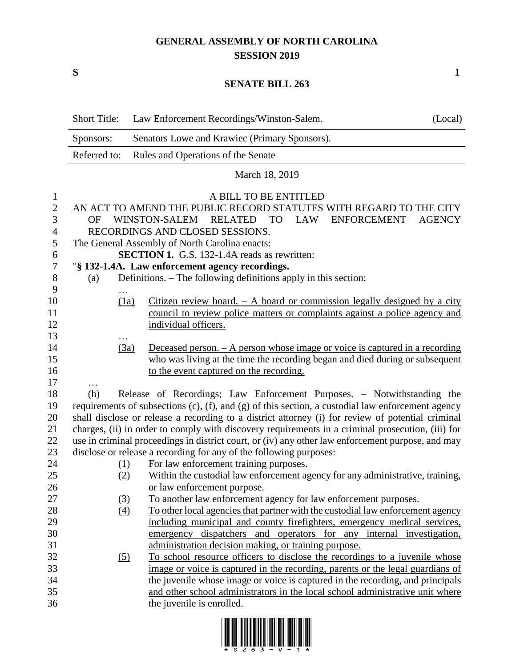## **GENERAL ASSEMBLY OF NORTH CAROLINA SESSION 2019**

**S 1**

## **SENATE BILL 263**

|                | <b>Short Title:</b>                                                                                       | Law Enforcement Recordings/Winston-Salem.                                                                    | (Local) |  |  |  |
|----------------|-----------------------------------------------------------------------------------------------------------|--------------------------------------------------------------------------------------------------------------|---------|--|--|--|
|                | Sponsors:                                                                                                 | Senators Lowe and Krawiec (Primary Sponsors).                                                                |         |  |  |  |
|                | Referred to:                                                                                              | Rules and Operations of the Senate                                                                           |         |  |  |  |
|                |                                                                                                           | March 18, 2019                                                                                               |         |  |  |  |
| $\mathbf{1}$   |                                                                                                           | A BILL TO BE ENTITLED                                                                                        |         |  |  |  |
| $\overline{2}$ | AN ACT TO AMEND THE PUBLIC RECORD STATUTES WITH REGARD TO THE CITY                                        |                                                                                                              |         |  |  |  |
| 3              | WINSTON-SALEM RELATED TO<br><b>ENFORCEMENT</b><br>LAW<br><b>AGENCY</b><br><b>OF</b>                       |                                                                                                              |         |  |  |  |
| $\overline{4}$ | RECORDINGS AND CLOSED SESSIONS.                                                                           |                                                                                                              |         |  |  |  |
| 5              | The General Assembly of North Carolina enacts:                                                            |                                                                                                              |         |  |  |  |
| 6              | <b>SECTION 1.</b> G.S. 132-1.4A reads as rewritten:                                                       |                                                                                                              |         |  |  |  |
| 7              | "§ 132-1.4A. Law enforcement agency recordings.                                                           |                                                                                                              |         |  |  |  |
| 8              | (a)                                                                                                       | Definitions. – The following definitions apply in this section:                                              |         |  |  |  |
| 9              | .                                                                                                         |                                                                                                              |         |  |  |  |
| 10             |                                                                                                           | Citizen review board. $-$ A board or commission legally designed by a city<br>(1a)                           |         |  |  |  |
| 11             |                                                                                                           | council to review police matters or complaints against a police agency and                                   |         |  |  |  |
| 12             |                                                                                                           | individual officers.                                                                                         |         |  |  |  |
| 13             |                                                                                                           |                                                                                                              |         |  |  |  |
| 14             |                                                                                                           | Deceased person. $- A$ person whose image or voice is captured in a recording<br>(3a)                        |         |  |  |  |
| 15             |                                                                                                           | who was living at the time the recording began and died during or subsequent                                 |         |  |  |  |
| 16             |                                                                                                           | to the event captured on the recording.                                                                      |         |  |  |  |
| 17             |                                                                                                           |                                                                                                              |         |  |  |  |
| 18             | (h)                                                                                                       | Release of Recordings; Law Enforcement Purposes. - Notwithstanding the                                       |         |  |  |  |
| 19             | requirements of subsections $(c)$ , $(f)$ , and $(g)$ of this section, a custodial law enforcement agency |                                                                                                              |         |  |  |  |
| 20             |                                                                                                           | shall disclose or release a recording to a district attorney (i) for review of potential criminal            |         |  |  |  |
| 21             | charges, (ii) in order to comply with discovery requirements in a criminal prosecution, (iii) for         |                                                                                                              |         |  |  |  |
| 22             |                                                                                                           | use in criminal proceedings in district court, or (iv) any other law enforcement purpose, and may            |         |  |  |  |
| 23<br>24       |                                                                                                           | disclose or release a recording for any of the following purposes:<br>For law enforcement training purposes. |         |  |  |  |
| 25             | (1)<br>(2)                                                                                                | Within the custodial law enforcement agency for any administrative, training,                                |         |  |  |  |
| 26             |                                                                                                           | or law enforcement purpose.                                                                                  |         |  |  |  |
| 27             | (3)                                                                                                       | To another law enforcement agency for law enforcement purposes.                                              |         |  |  |  |
| 28             | $\Delta$                                                                                                  | To other local agencies that partner with the custodial law enforcement agency                               |         |  |  |  |
| 29             |                                                                                                           | including municipal and county firefighters, emergency medical services,                                     |         |  |  |  |
| 30             |                                                                                                           | emergency dispatchers and operators for any internal investigation,                                          |         |  |  |  |
| 31             |                                                                                                           | administration decision making, or training purpose.                                                         |         |  |  |  |
| 32             | (5)                                                                                                       | To school resource officers to disclose the recordings to a juvenile whose                                   |         |  |  |  |
| 33             |                                                                                                           | image or voice is captured in the recording, parents or the legal guardians of                               |         |  |  |  |
| 34             |                                                                                                           | the juvenile whose image or voice is captured in the recording, and principals                               |         |  |  |  |
| 35             |                                                                                                           | and other school administrators in the local school administrative unit where                                |         |  |  |  |
| 36             |                                                                                                           | the juvenile is enrolled.                                                                                    |         |  |  |  |